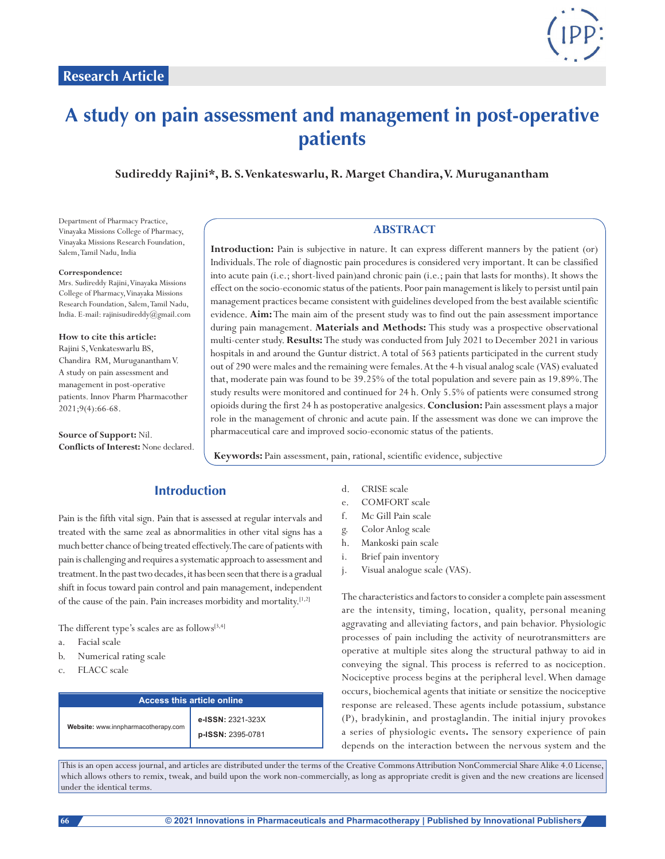

# **A study on pain assessment and management in post-operative patients**

**Sudireddy Rajini\*, B. S. Venkateswarlu, R. Marget Chandira, V. Muruganantham**

Department of Pharmacy Practice, Vinayaka Missions College of Pharmacy, Vinayaka Missions Research Foundation, Salem, Tamil Nadu, India

#### **Correspondence:**

Mrs. Sudireddy Rajini, Vinayaka Missions College of Pharmacy, Vinayaka Missions Research Foundation, Salem, Tamil Nadu, India. E-mail: rajinisudireddy@gmail.com

#### **How to cite this article:**

Rajini S, Venkateswarlu BS, Chandira RM, MurugananthamV. A study on pain assessment and management in post-operative patients. Innov Pharm Pharmacother 2021;9(4):66-68.

**Source of Support:** Nil. **Conflicts of Interest:** None declared.

#### **ABSTRACT**

**Introduction:** Pain is subjective in nature. It can express different manners by the patient (or) Individuals. The role of diagnostic pain procedures is considered very important. It can be classified into acute pain (i.e.; short-lived pain)and chronic pain (i.e.; pain that lasts for months). It shows the effect on the socio-economic status of the patients. Poor pain management is likely to persist until pain management practices became consistent with guidelines developed from the best available scientific evidence. **Aim:** The main aim of the present study was to find out the pain assessment importance during pain management. **Materials and Methods:** This study was a prospective observational multi-center study. **Results:** The study was conducted from July 2021 to December 2021 in various hospitals in and around the Guntur district. A total of 563 patients participated in the current study out of 290 were males and the remaining were females. At the 4-h visual analog scale (VAS) evaluated that, moderate pain was found to be 39.25% of the total population and severe pain as 19.89%. The study results were monitored and continued for 24 h. Only 5.5% of patients were consumed strong opioids during the first 24 h as postoperative analgesics. **Conclusion:** Pain assessment plays a major role in the management of chronic and acute pain. If the assessment was done we can improve the pharmaceutical care and improved socio-economic status of the patients.

**Keywords:** Pain assessment, pain, rational, scientific evidence, subjective

# **Introduction**

Pain is the fifth vital sign. Pain that is assessed at regular intervals and treated with the same zeal as abnormalities in other vital signs has a much better chance of being treated effectively. The care of patients with pain is challenging and requires a systematic approach to assessment and treatment. In the past two decades, it has been seen that there is a gradual shift in focus toward pain control and pain management, independent of the cause of the pain. Pain increases morbidity and mortality.[1,2]

The different type's scales are as follows[3,4]

- a. Facial scale
- b. Numerical rating scale
- c. FLACC scale

| Access this article online          |                                        |  |  |
|-------------------------------------|----------------------------------------|--|--|
| Website: www.innpharmacotherapy.com | e-ISSN: 2321-323X<br>p-ISSN: 2395-0781 |  |  |

- d. CRISE scale
- e. COMFORT scale
- f. Mc Gill Pain scale
- g. Color Anlog scale
- h. Mankoski pain scale
- i. Brief pain inventory
- j. Visual analogue scale (VAS).

The characteristics and factors to consider a complete pain assessment are the intensity, timing, location, quality, personal meaning aggravating and alleviating factors, and pain behavior. Physiologic processes of pain including the activity of neurotransmitters are operative at multiple sites along the structural pathway to aid in conveying the signal. This process is referred to as nociception. Nociceptive process begins at the peripheral level. When damage occurs, biochemical agents that initiate or sensitize the nociceptive response are released. These agents include potassium, substance (P), bradykinin, and prostaglandin. The initial injury provokes a series of physiologic events**.** The sensory experience of pain depends on the interaction between the nervous system and the

This is an open access journal, and articles are distributed under the terms of the Creative Commons Attribution NonCommercial Share Alike 4.0 License, which allows others to remix, tweak, and build upon the work non-commercially, as long as appropriate credit is given and the new creations are licensed under the identical terms.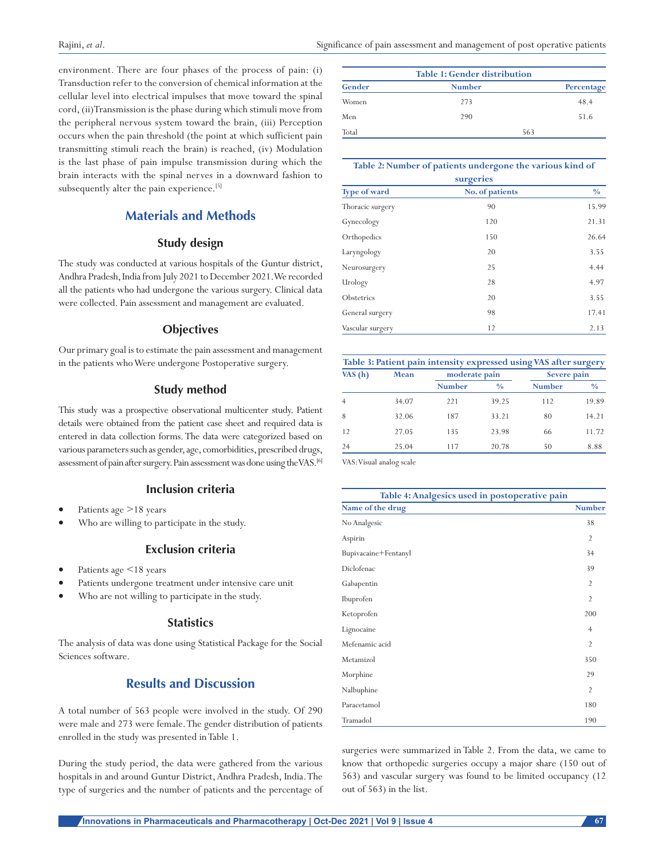environment. There are four phases of the process of pain: (i) Transduction refer to the conversion of chemical information at the cellular level into electrical impulses that move toward the spinal cord, (ii)Transmission is the phase during which stimuli move from the peripheral nervous system toward the brain, (iii) Perception occurs when the pain threshold (the point at which sufficient pain transmitting stimuli reach the brain) is reached, (iv) Modulation is the last phase of pain impulse transmission during which the brain interacts with the spinal nerves in a downward fashion to subsequently alter the pain experience.<sup>[5]</sup>

# **Materials and Methods**

#### **Study design**

The study was conducted at various hospitals of the Guntur district, Andhra Pradesh, India from July 2021 to December 2021. We recorded all the patients who had undergone the various surgery. Clinical data were collected. Pain assessment and management are evaluated.

#### **Objectives**

Our primary goal is to estimate the pain assessment and management in the patients who Were undergone Postoperative surgery.

#### **Study method**

This study was a prospective observational multicenter study. Patient details were obtained from the patient case sheet and required data is entered in data collection forms. The data were categorized based on various parameters such as gender, age, comorbidities, prescribed drugs, assessment of pain after surgery. Pain assessment was done using the VAS.<sup>[6]</sup>

## **Inclusion criteria**

- Patients age >18 years
- Who are willing to participate in the study.

#### **Exclusion criteria**

- Patients age  $\leq$  18 years
- Patients undergone treatment under intensive care unit
- Who are not willing to participate in the study.

#### **Statistics**

The analysis of data was done using Statistical Package for the Social Sciences software.

# **Results and Discussion**

A total number of 563 people were involved in the study. Of 290 were male and 273 were female. The gender distribution of patients enrolled in the study was presented in Table 1.

During the study period, the data were gathered from the various hospitals in and around Guntur District, Andhra Pradesh, India. The type of surgeries and the number of patients and the percentage of

| <b>Table 1: Gender distribution</b> |               |            |  |  |  |
|-------------------------------------|---------------|------------|--|--|--|
| Gender                              | <b>Number</b> | Percentage |  |  |  |
| Women                               | 273           | 48.4       |  |  |  |
| Men                                 | 290           | 51.6       |  |  |  |
| Total                               |               | 563        |  |  |  |

#### **Table 2: Number of patients undergone the various kind of**

| surgeries        |                 |               |  |  |
|------------------|-----------------|---------------|--|--|
| Type of ward     | No. of patients | $\frac{0}{0}$ |  |  |
| Thoracic surgery | 90              | 15.99         |  |  |
| Gynecology       | 120             | 21.31         |  |  |
| Orthopedics      | 150             | 26.64         |  |  |
| Laryngology      | 20              | 3.55          |  |  |
| Neurosurgery     | 25              | 4.44          |  |  |
| Urology          | 28              | 4.97          |  |  |
| Obstetrics       | 20              | 3.55          |  |  |
| General surgery  | 98              | 17.41         |  |  |
| Vascular surgery | 12              | 2.13          |  |  |

| Table 3: Patient pain intensity expressed using VAS after surgery |       |               |               |               |               |
|-------------------------------------------------------------------|-------|---------------|---------------|---------------|---------------|
| VAS $(h)$                                                         | Mean  | moderate pain |               | Severe pain   |               |
|                                                                   |       | <b>Number</b> | $\frac{0}{0}$ | <b>Number</b> | $\frac{0}{0}$ |
|                                                                   | 34.07 | 221           | 39.25         | 112           | 19.89         |
| 8                                                                 | 32.06 | 187           | 33.21         | 80            | 14.21         |
| 12                                                                | 27.05 | 135           | 23.98         | 66            | 11.72         |
| 24                                                                | 25.04 | 117           | 20.78         | 50            | 8.88          |

VAS: Visual analog scale

| Table 4: Analgesics used in postoperative pain |                |  |
|------------------------------------------------|----------------|--|
| Name of the drug                               | <b>Number</b>  |  |
| No Analgesic                                   | 38             |  |
| Aspirin                                        | $\overline{2}$ |  |
| Bupivacaine+Fentanyl                           | 34             |  |
| Diclofenac                                     | 39             |  |
| Gabapentin                                     | $\overline{2}$ |  |
| Ibuprofen                                      | $\overline{2}$ |  |
| Ketoprofen                                     | 200            |  |
| Lignocaine                                     | $\overline{4}$ |  |
| Mefenamic acid                                 | $\overline{2}$ |  |
| Metamizol                                      | 350            |  |
| Morphine                                       | 29             |  |
| Nalbuphine                                     | $\overline{2}$ |  |
| Paracetamol                                    | 180            |  |
| Tramadol                                       | 190            |  |

surgeries were summarized in Table 2. From the data, we came to know that orthopedic surgeries occupy a major share (150 out of 563) and vascular surgery was found to be limited occupancy (12 out of 563) in the list.